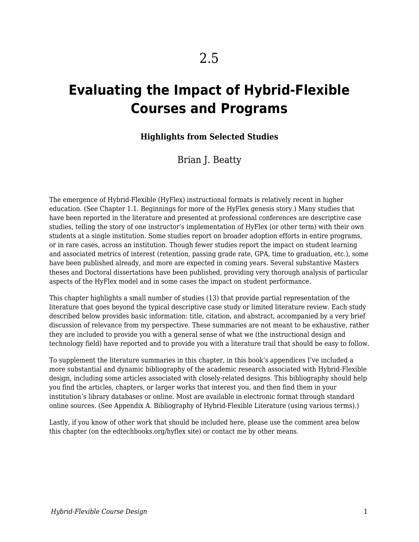# **Evaluating the Impact of Hybrid-Flexible Courses and Programs**

#### **Highlights from Selected Studies**

Brian J. Beatty

The emergence of Hybrid-Flexible (HyFlex) instructional formats is relatively recent in higher education. (See Chapter 1.1. Beginnings for more of the HyFlex genesis story.) Many studies that have been reported in the literature and presented at professional conferences are descriptive case studies, telling the story of one instructor's implementation of HyFlex (or other term) with their own students at a single institution. Some studies report on broader adoption efforts in entire programs, or in rare cases, across an institution. Though fewer studies report the impact on student learning and associated metrics of interest (retention, passing grade rate, GPA, time to graduation, etc.), some have been published already, and more are expected in coming years. Several substantive Masters theses and Doctoral dissertations have been published, providing very thorough analysis of particular aspects of the HyFlex model and in some cases the impact on student performance.

This chapter highlights a small number of studies (13) that provide partial representation of the literature that goes beyond the typical descriptive case study or limited literature review. Each study described below provides basic information: title, citation, and abstract, accompanied by a very brief discussion of relevance from my perspective. These summaries are not meant to be exhaustive, rather they are included to provide you with a general sense of what we (the instructional design and technology field) have reported and to provide you with a literature trail that should be easy to follow.

To supplement the literature summaries in this chapter, in this book's appendices I've included a more substantial and dynamic bibliography of the academic research associated with Hybrid-Flexible design, including some articles associated with closely-related designs. This bibliography should help you find the articles, chapters, or larger works that interest you, and then find them in your institution's library databases or online. Most are available in electronic format through standard online sources. (See Appendix A. Bibliography of Hybrid-Flexible Literature (using various terms).)

Lastly, if you know of other work that should be included here, please use the comment area below this chapter (on the edtechbooks.org/hyflex site) or contact me by other means.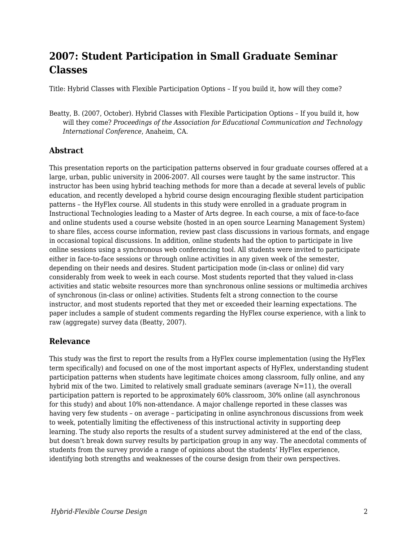# **2007: Student Participation in Small Graduate Seminar Classes**

Title: Hybrid Classes with Flexible Participation Options – If you build it, how will they come?

Beatty, B. (2007, October). Hybrid Classes with Flexible Participation Options – If you build it, how will they come? *Proceedings of the Association for Educational Communication and Technology International Conference*, Anaheim, CA.

#### **Abstract**

This presentation reports on the participation patterns observed in four graduate courses offered at a large, urban, public university in 2006-2007. All courses were taught by the same instructor. This instructor has been using hybrid teaching methods for more than a decade at several levels of public education, and recently developed a hybrid course design encouraging flexible student participation patterns – the HyFlex course. All students in this study were enrolled in a graduate program in Instructional Technologies leading to a Master of Arts degree. In each course, a mix of face-to-face and online students used a course website (hosted in an open source Learning Management System) to share files, access course information, review past class discussions in various formats, and engage in occasional topical discussions. In addition, online students had the option to participate in live online sessions using a synchronous web conferencing tool. All students were invited to participate either in face-to-face sessions or through online activities in any given week of the semester, depending on their needs and desires. Student participation mode (in-class or online) did vary considerably from week to week in each course. Most students reported that they valued in-class activities and static website resources more than synchronous online sessions or multimedia archives of synchronous (in-class or online) activities. Students felt a strong connection to the course instructor, and most students reported that they met or exceeded their learning expectations. The paper includes a sample of student comments regarding the HyFlex course experience, with a link to raw (aggregate) survey data (Beatty, 2007).

#### **Relevance**

This study was the first to report the results from a HyFlex course implementation (using the HyFlex term specifically) and focused on one of the most important aspects of HyFlex, understanding student participation patterns when students have legitimate choices among classroom, fully online, and any hybrid mix of the two. Limited to relatively small graduate seminars (average  $N=11$ ), the overall participation pattern is reported to be approximately 60% classroom, 30% online (all asynchronous for this study) and about 10% non-attendance. A major challenge reported in these classes was having very few students – on average – participating in online asynchronous discussions from week to week, potentially limiting the effectiveness of this instructional activity in supporting deep learning. The study also reports the results of a student survey administered at the end of the class, but doesn't break down survey results by participation group in any way. The anecdotal comments of students from the survey provide a range of opinions about the students' HyFlex experience, identifying both strengths and weaknesses of the course design from their own perspectives.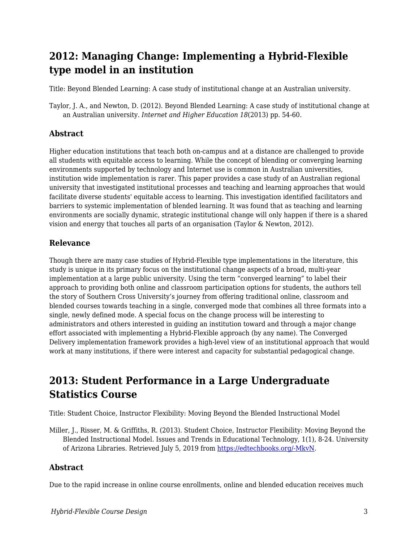# **2012: Managing Change: Implementing a Hybrid-Flexible type model in an institution**

Title: Beyond Blended Learning: A case study of institutional change at an Australian university.

Taylor, J. A., and Newton, D. (2012). Beyond Blended Learning: A case study of institutional change at an Australian university. *Internet and Higher Education 18*(2013) pp. 54-60.

#### **Abstract**

Higher education institutions that teach both on-campus and at a distance are challenged to provide all students with equitable access to learning. While the concept of blending or converging learning environments supported by technology and Internet use is common in Australian universities, institution wide implementation is rarer. This paper provides a case study of an Australian regional university that investigated institutional processes and teaching and learning approaches that would facilitate diverse students' equitable access to learning. This investigation identified facilitators and barriers to systemic implementation of blended learning. It was found that as teaching and learning environments are socially dynamic, strategic institutional change will only happen if there is a shared vision and energy that touches all parts of an organisation (Taylor & Newton, 2012).

#### **Relevance**

Though there are many case studies of Hybrid-Flexible type implementations in the literature, this study is unique in its primary focus on the institutional change aspects of a broad, multi-year implementation at a large public university. Using the term "converged learning" to label their approach to providing both online and classroom participation options for students, the authors tell the story of Southern Cross University's journey from offering traditional online, classroom and blended courses towards teaching in a single, converged mode that combines all three formats into a single, newly defined mode. A special focus on the change process will be interesting to administrators and others interested in guiding an institution toward and through a major change effort associated with implementing a Hybrid-Flexible approach (by any name). The Converged Delivery implementation framework provides a high-level view of an institutional approach that would work at many institutions, if there were interest and capacity for substantial pedagogical change.

### **2013: Student Performance in a Large Undergraduate Statistics Course**

Title: Student Choice, Instructor Flexibility: Moving Beyond the Blended Instructional Model

Miller, J., Risser, M. & Griffiths, R. (2013). Student Choice, Instructor Flexibility: Moving Beyond the Blended Instructional Model. Issues and Trends in Educational Technology, 1(1), 8-24. University of Arizona Libraries. Retrieved July 5, 2019 from [https://edtechbooks.org/-MkvN.](https://www.learntechlib.org/p/129818/)

#### **Abstract**

Due to the rapid increase in online course enrollments, online and blended education receives much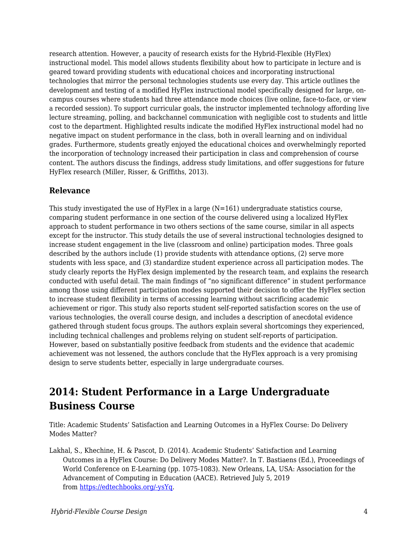research attention. However, a paucity of research exists for the Hybrid-Flexible (HyFlex) instructional model. This model allows students flexibility about how to participate in lecture and is geared toward providing students with educational choices and incorporating instructional technologies that mirror the personal technologies students use every day. This article outlines the development and testing of a modified HyFlex instructional model specifically designed for large, oncampus courses where students had three attendance mode choices (live online, face-to-face, or view a recorded session). To support curricular goals, the instructor implemented technology affording live lecture streaming, polling, and backchannel communication with negligible cost to students and little cost to the department. Highlighted results indicate the modified HyFlex instructional model had no negative impact on student performance in the class, both in overall learning and on individual grades. Furthermore, students greatly enjoyed the educational choices and overwhelmingly reported the incorporation of technology increased their participation in class and comprehension of course content. The authors discuss the findings, address study limitations, and offer suggestions for future HyFlex research (Miller, Risser, & Griffiths, 2013).

#### **Relevance**

This study investigated the use of HyFlex in a large  $(N=161)$  undergraduate statistics course, comparing student performance in one section of the course delivered using a localized HyFlex approach to student performance in two others sections of the same course, similar in all aspects except for the instructor. This study details the use of several instructional technologies designed to increase student engagement in the live (classroom and online) participation modes. Three goals described by the authors include (1) provide students with attendance options, (2) serve more students with less space, and (3) standardize student experience across all participation modes. The study clearly reports the HyFlex design implemented by the research team, and explains the research conducted with useful detail. The main findings of "no significant difference" in student performance among those using different participation modes supported their decision to offer the HyFlex section to increase student flexibility in terms of accessing learning without sacrificing academic achievement or rigor. This study also reports student self-reported satisfaction scores on the use of various technologies, the overall course design, and includes a description of anecdotal evidence gathered through student focus groups. The authors explain several shortcomings they experienced, including technical challenges and problems relying on student self-reports of participation. However, based on substantially positive feedback from students and the evidence that academic achievement was not lessened, the authors conclude that the HyFlex approach is a very promising design to serve students better, especially in large undergraduate courses.

# **2014: Student Performance in a Large Undergraduate Business Course**

Title: Academic Students' Satisfaction and Learning Outcomes in a HyFlex Course: Do Delivery Modes Matter?

Lakhal, S., Khechine, H. & Pascot, D. (2014). Academic Students' Satisfaction and Learning Outcomes in a HyFlex Course: Do Delivery Modes Matter?. In T. Bastiaens (Ed.), Proceedings of World Conference on E-Learning (pp. 1075-1083). New Orleans, LA, USA: Association for the Advancement of Computing in Education (AACE). Retrieved July 5, 2019 from [https://edtechbooks.org/-ysYq](https://www.learntechlib.org/primary/p/148994/).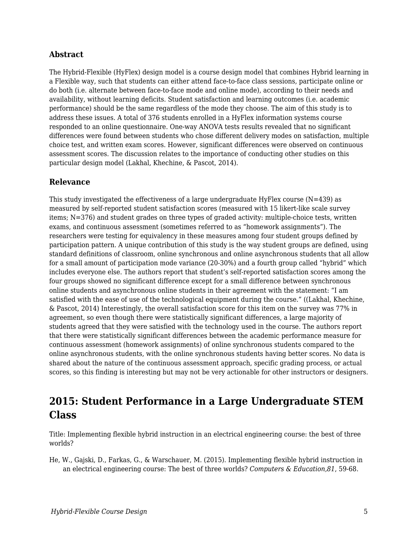The Hybrid-Flexible (HyFlex) design model is a course design model that combines Hybrid learning in a Flexible way, such that students can either attend face-to-face class sessions, participate online or do both (i.e. alternate between face-to-face mode and online mode), according to their needs and availability, without learning deficits. Student satisfaction and learning outcomes (i.e. academic performance) should be the same regardless of the mode they choose. The aim of this study is to address these issues. A total of 376 students enrolled in a HyFlex information systems course responded to an online questionnaire. One-way ANOVA tests results revealed that no significant differences were found between students who chose different delivery modes on satisfaction, multiple choice test, and written exam scores. However, significant differences were observed on continuous assessment scores. The discussion relates to the importance of conducting other studies on this particular design model (Lakhal, Khechine, & Pascot, 2014).

#### **Relevance**

This study investigated the effectiveness of a large undergraduate HyFlex course  $(N=439)$  as measured by self-reported student satisfaction scores (measured with 15 likert-like scale survey items; N=376) and student grades on three types of graded activity: multiple-choice tests, written exams, and continuous assessment (sometimes referred to as "homework assignments"). The researchers were testing for equivalency in these measures among four student groups defined by participation pattern. A unique contribution of this study is the way student groups are defined, using standard definitions of classroom, online synchronous and online asynchronous students that all allow for a small amount of participation mode variance (20-30%) and a fourth group called "hybrid" which includes everyone else. The authors report that student's self-reported satisfaction scores among the four groups showed no significant difference except for a small difference between synchronous online students and asynchronous online students in their agreement with the statement: "I am satisfied with the ease of use of the technological equipment during the course." ((Lakhal, Khechine, & Pascot, 2014) Interestingly, the overall satisfaction score for this item on the survey was 77% in agreement, so even though there were statistically significant differences, a large majority of students agreed that they were satisfied with the technology used in the course. The authors report that there were statistically significant differences between the academic performance measure for continuous assessment (homework assignments) of online synchronous students compared to the online asynchronous students, with the online synchronous students having better scores. No data is shared about the nature of the continuous assessment approach, specific grading process, or actual scores, so this finding is interesting but may not be very actionable for other instructors or designers.

### **2015: Student Performance in a Large Undergraduate STEM Class**

Title: Implementing flexible hybrid instruction in an electrical engineering course: the best of three worlds?

He, W., Gajski, D., Farkas, G., & Warschauer, M. (2015). Implementing flexible hybrid instruction in an electrical engineering course: The best of three worlds? *Computers & Education,81*, 59-68.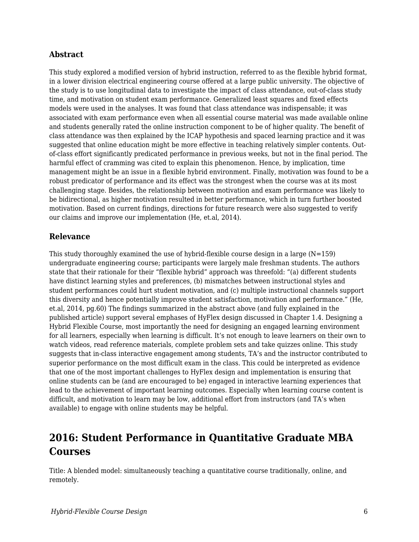This study explored a modified version of hybrid instruction, referred to as the flexible hybrid format, in a lower division electrical engineering course offered at a large public university. The objective of the study is to use longitudinal data to investigate the impact of class attendance, out-of-class study time, and motivation on student exam performance. Generalized least squares and fixed effects models were used in the analyses. It was found that class attendance was indispensable; it was associated with exam performance even when all essential course material was made available online and students generally rated the online instruction component to be of higher quality. The benefit of class attendance was then explained by the ICAP hypothesis and spaced learning practice and it was suggested that online education might be more effective in teaching relatively simpler contents. Outof-class effort significantly predicated performance in previous weeks, but not in the final period. The harmful effect of cramming was cited to explain this phenomenon. Hence, by implication, time management might be an issue in a flexible hybrid environment. Finally, motivation was found to be a robust predicator of performance and its effect was the strongest when the course was at its most challenging stage. Besides, the relationship between motivation and exam performance was likely to be bidirectional, as higher motivation resulted in better performance, which in turn further boosted motivation. Based on current findings, directions for future research were also suggested to verify our claims and improve our implementation (He, et.al, 2014).

#### **Relevance**

This study thoroughly examined the use of hybrid-flexible course design in a large  $(N=159)$ undergraduate engineering course; participants were largely male freshman students. The authors state that their rationale for their "flexible hybrid" approach was threefold: "(a) different students have distinct learning styles and preferences, (b) mismatches between instructional styles and student performances could hurt student motivation, and (c) multiple instructional channels support this diversity and hence potentially improve student satisfaction, motivation and performance." (He, et.al, 2014, pg.60) The findings summarized in the abstract above (and fully explained in the published article) support several emphases of HyFlex design discussed in Chapter 1.4. Designing a Hybrid Flexible Course, most importantly the need for designing an engaged learning environment for all learners, especially when learning is difficult. It's not enough to leave learners on their own to watch videos, read reference materials, complete problem sets and take quizzes online. This study suggests that in-class interactive engagement among students, TA's and the instructor contributed to superior performance on the most difficult exam in the class. This could be interpreted as evidence that one of the most important challenges to HyFlex design and implementation is ensuring that online students can be (and are encouraged to be) engaged in interactive learning experiences that lead to the achievement of important learning outcomes. Especially when learning course content is difficult, and motivation to learn may be low, additional effort from instructors (and TA's when available) to engage with online students may be helpful.

# **2016: Student Performance in Quantitative Graduate MBA Courses**

Title: A blended model: simultaneously teaching a quantitative course traditionally, online, and remotely.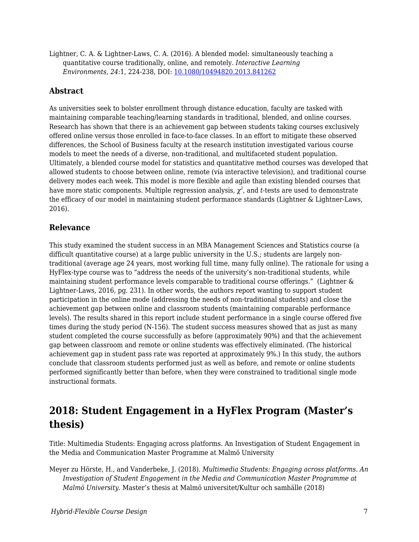Lightner, C. A. & Lightner-Laws, C. A. (2016). A blended model: simultaneously teaching a quantitative course traditionally, online, and remotely. *Interactive Learning Environments, 24*:1, 224-238, DOI: [10.1080/10494820.2013.841262](https://doi.org/10.1080/10494820.2013.841262)

#### **Abstract**

As universities seek to bolster enrollment through distance education, faculty are tasked with maintaining comparable teaching/learning standards in traditional, blended, and online courses. Research has shown that there is an achievement gap between students taking courses exclusively offered online versus those enrolled in face-to-face classes. In an effort to mitigate these observed differences, the School of Business faculty at the research institution investigated various course models to meet the needs of a diverse, non-traditional, and multifaceted student population. Ultimately, a blended course model for statistics and quantitative method courses was developed that allowed students to choose between online, remote (via interactive television), and traditional course delivery modes each week. This model is more flexible and agile than existing blended courses that have more static components. Multiple regression analysis,  $\chi^2$ , and  $t$ -tests are used to demonstrate the efficacy of our model in maintaining student performance standards (Lightner & Lightner-Laws, 2016).

#### **Relevance**

This study examined the student success in an MBA Management Sciences and Statistics course (a difficult quantitative course) at a large public university in the U.S.; students are largely nontraditional (average age 24 years, most working full time, many fully online). The rationale for using a HyFlex-type course was to "address the needs of the university's non-traditional students, while maintaining student performance levels comparable to traditional course offerings." (Lightner & Lightner-Laws, 2016, pg. 231). In other words, the authors report wanting to support student participation in the online mode (addressing the needs of non-traditional students) and close the achievement gap between online and classroom students (maintaining comparable performance levels). The results shared in this report include student performance in a single course offered five times during the study period (N-156). The student success measures showed that as just as many student completed the course successfully as before (approximately 90%) and that the achievement gap between classroom and remote or online students was effectively eliminated. (The historical achievement gap in student pass rate was reported at approximately 9%.) In this study, the authors conclude that classroom students performed just as well as before, and remote or online students performed significantly better than before, when they were constrained to traditional single mode instructional formats.

### **2018: Student Engagement in a HyFlex Program (Master's thesis)**

Title: Multimedia Students: Engaging across platforms. An Investigation of Student Engagement in the Media and Communication Master Programme at Malmö University

Meyer zu Hörste, H., and Vanderbeke, J. (2018). *Multimedia Students: Engaging across platforms. An Investigation of Student Engagement in the Media and Communication Master Programme at Malmö University.* Master's thesis at Malmö universitet/Kultur och samhälle (2018)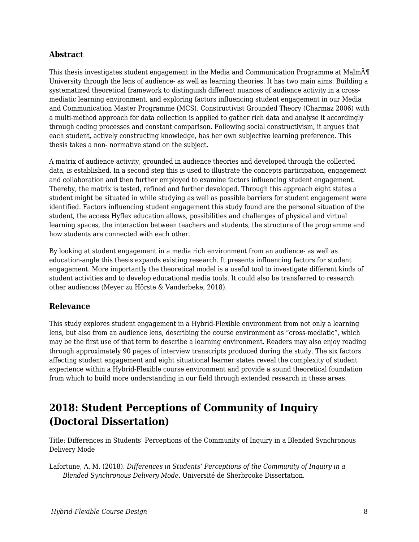This thesis investigates student engagement in the Media and Communication Programme at Malm $\tilde{A}$ T University through the lens of audience- as well as learning theories. It has two main aims: Building a systematized theoretical framework to distinguish different nuances of audience activity in a crossmediatic learning environment, and exploring factors influencing student engagement in our Media and Communication Master Programme (MCS). Constructivist Grounded Theory (Charmaz 2006) with a multi-method approach for data collection is applied to gather rich data and analyse it accordingly through coding processes and constant comparison. Following social constructivism, it argues that each student, actively constructing knowledge, has her own subjective learning preference. This thesis takes a non- normative stand on the subject.

A matrix of audience activity, grounded in audience theories and developed through the collected data, is established. In a second step this is used to illustrate the concepts participation, engagement and collaboration and then further employed to examine factors influencing student engagement. Thereby, the matrix is tested, refined and further developed. Through this approach eight states a student might be situated in while studying as well as possible barriers for student engagement were identified. Factors influencing student engagement this study found are the personal situation of the student, the access Hyflex education allows, possibilities and challenges of physical and virtual learning spaces, the interaction between teachers and students, the structure of the programme and how students are connected with each other.

By looking at student engagement in a media rich environment from an audience- as well as education-angle this thesis expands existing research. It presents influencing factors for student engagement. More importantly the theoretical model is a useful tool to investigate different kinds of student activities and to develop educational media tools. It could also be transferred to research other audiences (Meyer zu Hörste & Vanderbeke, 2018).

#### **Relevance**

This study explores student engagement in a Hybrid-Flexible environment from not only a learning lens, but also from an audience lens, describing the course environment as "cross-mediatic", which may be the first use of that term to describe a learning environment. Readers may also enjoy reading through approximately 90 pages of interview transcripts produced during the study. The six factors affecting student engagement and eight situational learner states reveal the complexity of student experience within a Hybrid-Flexible course environment and provide a sound theoretical foundation from which to build more understanding in our field through extended research in these areas.

# **2018: Student Perceptions of Community of Inquiry (Doctoral Dissertation)**

Title: Differences in Students' Perceptions of the Community of Inquiry in a Blended Synchronous Delivery Mode

Lafortune, A. M. (2018). *Differences in Students' Perceptions of the Community of Inquiry in a Blended Synchronous Delivery Mode.* Université de Sherbrooke Dissertation.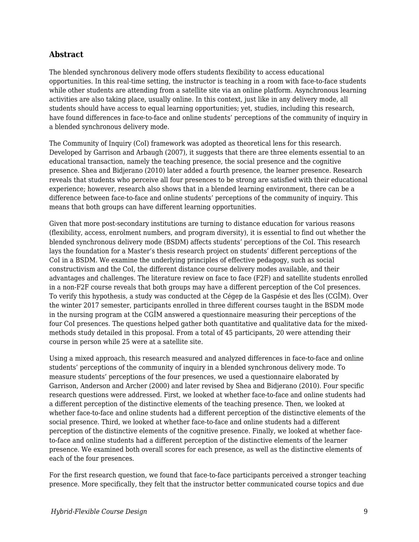The blended synchronous delivery mode offers students flexibility to access educational opportunities. In this real-time setting, the instructor is teaching in a room with face-to-face students while other students are attending from a satellite site via an online platform. Asynchronous learning activities are also taking place, usually online. In this context, just like in any delivery mode, all students should have access to equal learning opportunities; yet, studies, including this research, have found differences in face-to-face and online students' perceptions of the community of inquiry in a blended synchronous delivery mode.

The Community of Inquiry (CoI) framework was adopted as theoretical lens for this research. Developed by Garrison and Arbaugh (2007), it suggests that there are three elements essential to an educational transaction, namely the teaching presence, the social presence and the cognitive presence. Shea and Bidjerano (2010) later added a fourth presence, the learner presence. Research reveals that students who perceive all four presences to be strong are satisfied with their educational experience; however, research also shows that in a blended learning environment, there can be a difference between face-to-face and online students' perceptions of the community of inquiry. This means that both groups can have different learning opportunities.

Given that more post-secondary institutions are turning to distance education for various reasons (flexibility, access, enrolment numbers, and program diversity), it is essential to find out whether the blended synchronous delivery mode (BSDM) affects students' perceptions of the CoI. This research lays the foundation for a Master's thesis research project on students' different perceptions of the CoI in a BSDM. We examine the underlying principles of effective pedagogy, such as social constructivism and the CoI, the different distance course delivery modes available, and their advantages and challenges. The literature review on face to face (F2F) and satellite students enrolled in a non-F2F course reveals that both groups may have a different perception of the CoI presences. To verify this hypothesis, a study was conducted at the Cégep de la Gaspésie et des Îles (CGÎM). Over the winter 2017 semester, participants enrolled in three different courses taught in the BSDM mode in the nursing program at the CGÎM answered a questionnaire measuring their perceptions of the four CoI presences. The questions helped gather both quantitative and qualitative data for the mixedmethods study detailed in this proposal. From a total of 45 participants, 20 were attending their course in person while 25 were at a satellite site.

Using a mixed approach, this research measured and analyzed differences in face-to-face and online students' perceptions of the community of inquiry in a blended synchronous delivery mode. To measure students' perceptions of the four presences, we used a questionnaire elaborated by Garrison, Anderson and Archer (2000) and later revised by Shea and Bidjerano (2010). Four specific research questions were addressed. First, we looked at whether face-to-face and online students had a different perception of the distinctive elements of the teaching presence. Then, we looked at whether face-to-face and online students had a different perception of the distinctive elements of the social presence. Third, we looked at whether face-to-face and online students had a different perception of the distinctive elements of the cognitive presence. Finally, we looked at whether faceto-face and online students had a different perception of the distinctive elements of the learner presence. We examined both overall scores for each presence, as well as the distinctive elements of each of the four presences.

For the first research question, we found that face-to-face participants perceived a stronger teaching presence. More specifically, they felt that the instructor better communicated course topics and due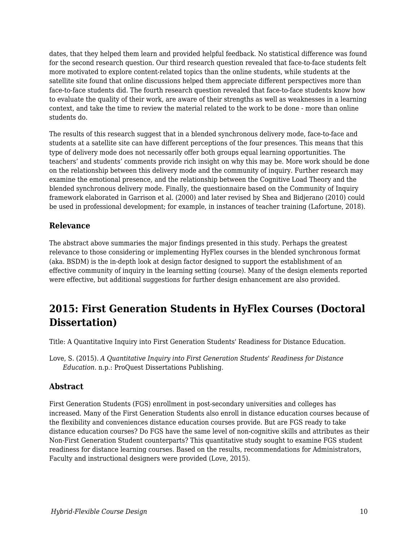dates, that they helped them learn and provided helpful feedback. No statistical difference was found for the second research question. Our third research question revealed that face-to-face students felt more motivated to explore content-related topics than the online students, while students at the satellite site found that online discussions helped them appreciate different perspectives more than face-to-face students did. The fourth research question revealed that face-to-face students know how to evaluate the quality of their work, are aware of their strengths as well as weaknesses in a learning context, and take the time to review the material related to the work to be done - more than online students do.

The results of this research suggest that in a blended synchronous delivery mode, face-to-face and students at a satellite site can have different perceptions of the four presences. This means that this type of delivery mode does not necessarily offer both groups equal learning opportunities. The teachers' and students' comments provide rich insight on why this may be. More work should be done on the relationship between this delivery mode and the community of inquiry. Further research may examine the emotional presence, and the relationship between the Cognitive Load Theory and the blended synchronous delivery mode. Finally, the questionnaire based on the Community of Inquiry framework elaborated in Garrison et al. (2000) and later revised by Shea and Bidjerano (2010) could be used in professional development; for example, in instances of teacher training (Lafortune, 2018).

#### **Relevance**

The abstract above summaries the major findings presented in this study. Perhaps the greatest relevance to those considering or implementing HyFlex courses in the blended synchronous format (aka. BSDM) is the in-depth look at design factor designed to support the establishment of an effective community of inquiry in the learning setting (course). Many of the design elements reported were effective, but additional suggestions for further design enhancement are also provided.

### **2015: First Generation Students in HyFlex Courses (Doctoral Dissertation)**

Title: A Quantitative Inquiry into First Generation Students' Readiness for Distance Education.

Love, S. (2015). *A Quantitative Inquiry into First Generation Students' Readiness for Distance Education*. n.p.: ProQuest Dissertations Publishing.

#### **Abstract**

First Generation Students (FGS) enrollment in post-secondary universities and colleges has increased. Many of the First Generation Students also enroll in distance education courses because of the flexibility and conveniences distance education courses provide. But are FGS ready to take distance education courses? Do FGS have the same level of non-cognitive skills and attributes as their Non-First Generation Student counterparts? This quantitative study sought to examine FGS student readiness for distance learning courses. Based on the results, recommendations for Administrators, Faculty and instructional designers were provided (Love, 2015).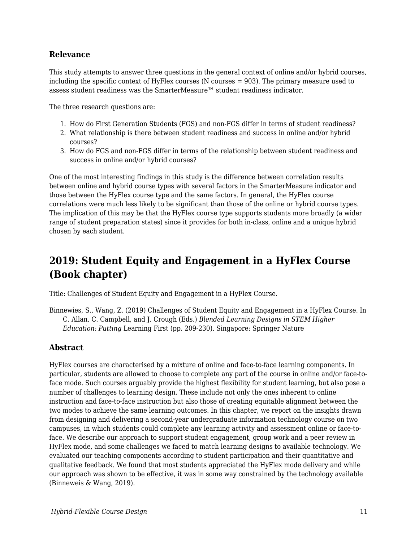#### **Relevance**

This study attempts to answer three questions in the general context of online and/or hybrid courses, including the specific context of HyFlex courses (N courses = 903). The primary measure used to assess student readiness was the SmarterMeasure™ student readiness indicator.

The three research questions are:

- 1. How do First Generation Students (FGS) and non-FGS differ in terms of student readiness?
- 2. What relationship is there between student readiness and success in online and/or hybrid courses?
- 3. How do FGS and non-FGS differ in terms of the relationship between student readiness and success in online and/or hybrid courses?

One of the most interesting findings in this study is the difference between correlation results between online and hybrid course types with several factors in the SmarterMeasure indicator and those between the HyFlex course type and the same factors. In general, the HyFlex course correlations were much less likely to be significant than those of the online or hybrid course types. The implication of this may be that the HyFlex course type supports students more broadly (a wider range of student preparation states) since it provides for both in-class, online and a unique hybrid chosen by each student.

# **2019: Student Equity and Engagement in a HyFlex Course (Book chapter)**

Title: Challenges of Student Equity and Engagement in a HyFlex Course.

Binnewies, S., Wang, Z. (2019) Challenges of Student Equity and Engagement in a HyFlex Course. In C. Allan, C. Campbell, and J. Crough (Eds.) *Blended Learning Designs in STEM Higher Education: Putting* Learning First (pp. 209-230). Singapore: Springer Nature

#### **Abstract**

HyFlex courses are characterised by a mixture of online and face-to-face learning components. In particular, students are allowed to choose to complete any part of the course in online and/or face-toface mode. Such courses arguably provide the highest flexibility for student learning, but also pose a number of challenges to learning design. These include not only the ones inherent to online instruction and face-to-face instruction but also those of creating equitable alignment between the two modes to achieve the same learning outcomes. In this chapter, we report on the insights drawn from designing and delivering a second-year undergraduate information technology course on two campuses, in which students could complete any learning activity and assessment online or face-toface. We describe our approach to support student engagement, group work and a peer review in HyFlex mode, and some challenges we faced to match learning designs to available technology. We evaluated our teaching components according to student participation and their quantitative and qualitative feedback. We found that most students appreciated the HyFlex mode delivery and while our approach was shown to be effective, it was in some way constrained by the technology available (Binneweis & Wang, 2019).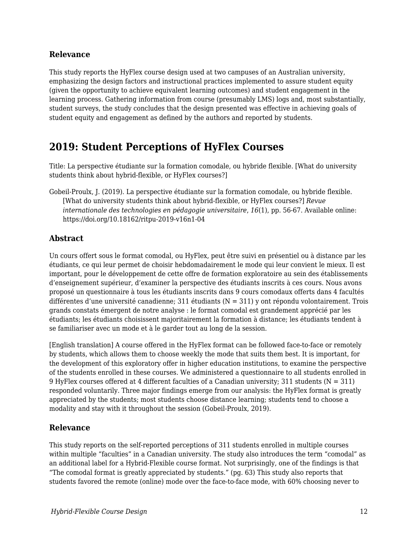#### **Relevance**

This study reports the HyFlex course design used at two campuses of an Australian university, emphasizing the design factors and instructional practices implemented to assure student equity (given the opportunity to achieve equivalent learning outcomes) and student engagement in the learning process. Gathering information from course (presumably LMS) logs and, most substantially, student surveys, the study concludes that the design presented was effective in achieving goals of student equity and engagement as defined by the authors and reported by students.

### **2019: Student Perceptions of HyFlex Courses**

Title: La perspective étudiante sur la formation comodale, ou hybride flexible. [What do university students think about hybrid-flexible, or HyFlex courses?]

Gobeil-Proulx, J. (2019). La perspective étudiante sur la formation comodale, ou hybride flexible. [What do university students think about hybrid-flexible, or HyFlex courses?] *Revue internationale des technologies en pédagogie universitaire*, *16*(1), pp. 56-67. Available online: https://doi.org/10.18162/ritpu-2019-v16n1-04

#### **Abstract**

Un cours offert sous le format comodal, ou HyFlex, peut être suivi en présentiel ou à distance par les étudiants, ce qui leur permet de choisir hebdomadairement le mode qui leur convient le mieux. Il est important, pour le développement de cette offre de formation exploratoire au sein des établissements d'enseignement supérieur, d'examiner la perspective des étudiants inscrits à ces cours. Nous avons proposé un questionnaire à tous les étudiants inscrits dans 9 cours comodaux offerts dans 4 facultés différentes d'une université canadienne; 311 étudiants (N = 311) y ont répondu volontairement. Trois grands constats émergent de notre analyse : le format comodal est grandement apprécié par les étudiants; les étudiants choisissent majoritairement la formation à distance; les étudiants tendent à se familiariser avec un mode et à le garder tout au long de la session.

[English translation] A course offered in the HyFlex format can be followed face-to-face or remotely by students, which allows them to choose weekly the mode that suits them best. It is important, for the development of this exploratory offer in higher education institutions, to examine the perspective of the students enrolled in these courses. We administered a questionnaire to all students enrolled in 9 HyFlex courses offered at 4 different faculties of a Canadian university; 311 students ( $N = 311$ ) responded voluntarily. Three major findings emerge from our analysis: the HyFlex format is greatly appreciated by the students; most students choose distance learning; students tend to choose a modality and stay with it throughout the session (Gobeil-Proulx, 2019).

#### **Relevance**

This study reports on the self-reported perceptions of 311 students enrolled in multiple courses within multiple "faculties" in a Canadian university. The study also introduces the term "comodal" as an additional label for a Hybrid-Flexible course format. Not surprisingly, one of the findings is that "The comodal format is greatly appreciated by students." (pg. 63) This study also reports that students favored the remote (online) mode over the face-to-face mode, with 60% choosing never to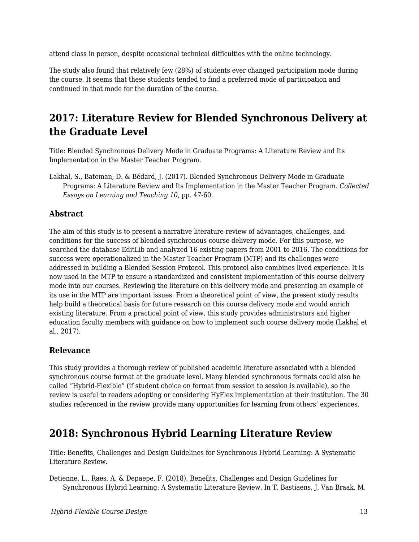attend class in person, despite occasional technical difficulties with the online technology.

The study also found that relatively few (28%) of students ever changed participation mode during the course. It seems that these students tended to find a preferred mode of participation and continued in that mode for the duration of the course.

# **2017: Literature Review for Blended Synchronous Delivery at the Graduate Level**

Title: Blended Synchronous Delivery Mode in Graduate Programs: A Literature Review and Its Implementation in the Master Teacher Program.

Lakhal, S., Bateman, D. & Bédard, J. (2017). Blended Synchronous Delivery Mode in Graduate Programs: A Literature Review and Its Implementation in the Master Teacher Program. *Collected Essays on Learning and Teaching 10*, pp. 47-60.

#### **Abstract**

The aim of this study is to present a narrative literature review of advantages, challenges, and conditions for the success of blended synchronous course delivery mode. For this purpose, we searched the database EditLib and analyzed 16 existing papers from 2001 to 2016. The conditions for success were operationalized in the Master Teacher Program (MTP) and its challenges were addressed in building a Blended Session Protocol. This protocol also combines lived experience. It is now used in the MTP to ensure a standardized and consistent implementation of this course delivery mode into our courses. Reviewing the literature on this delivery mode and presenting an example of its use in the MTP are important issues. From a theoretical point of view, the present study results help build a theoretical basis for future research on this course delivery mode and would enrich existing literature. From a practical point of view, this study provides administrators and higher education faculty members with guidance on how to implement such course delivery mode (Lakhal et al., 2017).

#### **Relevance**

This study provides a thorough review of published academic literature associated with a blended synchronous course format at the graduate level. Many blended synchronous formats could also be called "Hybrid-Flexible" (if student choice on format from session to session is available), so the review is useful to readers adopting or considering HyFlex implementation at their institution. The 30 studies referenced in the review provide many opportunities for learning from others' experiences.

### **2018: Synchronous Hybrid Learning Literature Review**

Title: Benefits, Challenges and Design Guidelines for Synchronous Hybrid Learning: A Systematic Literature Review.

Detienne, L., Raes, A. & Depaepe, F. (2018). Benefits, Challenges and Design Guidelines for Synchronous Hybrid Learning: A Systematic Literature Review. In T. Bastiaens, J. Van Braak, M.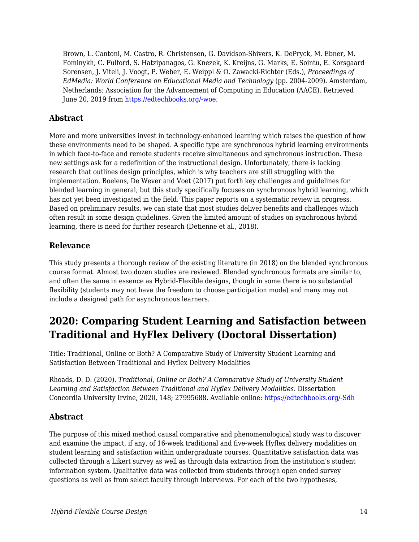Brown, L. Cantoni, M. Castro, R. Christensen, G. Davidson-Shivers, K. DePryck, M. Ebner, M. Fominykh, C. Fulford, S. Hatzipanagos, G. Knezek, K. Kreijns, G. Marks, E. Sointu, E. Korsgaard Sorensen, J. Viteli, J. Voogt, P. Weber, E. Weippl & O. Zawacki-Richter (Eds.), *Proceedings of EdMedia: World Conference on Educational Media and Technology* (pp. 2004-2009). Amsterdam, Netherlands: Association for the Advancement of Computing in Education (AACE). Retrieved June 20, 2019 from [https://edtechbooks.org/-woe.](https://www.learntechlib.org/primary/p/184440/)

#### **Abstract**

More and more universities invest in technology-enhanced learning which raises the question of how these environments need to be shaped. A specific type are synchronous hybrid learning environments in which face-to-face and remote students receive simultaneous and synchronous instruction. These new settings ask for a redefinition of the instructional design. Unfortunately, there is lacking research that outlines design principles, which is why teachers are still struggling with the implementation. Boelens, De Wever and Voet (2017) put forth key challenges and guidelines for blended learning in general, but this study specifically focuses on synchronous hybrid learning, which has not yet been investigated in the field. This paper reports on a systematic review in progress. Based on preliminary results, we can state that most studies deliver benefits and challenges which often result in some design guidelines. Given the limited amount of studies on synchronous hybrid learning, there is need for further research (Detienne et al., 2018).

#### **Relevance**

This study presents a thorough review of the existing literature (in 2018) on the blended synchronous course format. Almost two dozen studies are reviewed. Blended synchronous formats are similar to, and often the same in essence as Hybrid-Flexible designs, though in some there is no substantial flexibility (students may not have the freedom to choose participation mode) and many may not include a designed path for asynchronous learners.

# **2020: Comparing Student Learning and Satisfaction between Traditional and HyFlex Delivery (Doctoral Dissertation)**

Title: Traditional, Online or Both? A Comparative Study of University Student Learning and Satisfaction Between Traditional and Hyflex Delivery Modalities

Rhoads, D. D. (2020). *Traditional, Online or Both? A Comparative Study of University Student Learning and Satisfaction Between Traditional and Hyflex Delivery Modalities.* Dissertation Concordia University Irvine, 2020, 148; 27995688. Available online: [https://edtechbooks.org/-Sdh](https://pqdtopen.proquest.com/pubnum/27995688.html)

#### **Abstract**

The purpose of this mixed method causal comparative and phenomenological study was to discover and examine the impact, if any, of 16-week traditional and five-week Hyflex delivery modalities on student learning and satisfaction within undergraduate courses. Quantitative satisfaction data was collected through a Likert survey as well as through data extraction from the institution's student information system. Qualitative data was collected from students through open ended survey questions as well as from select faculty through interviews. For each of the two hypotheses,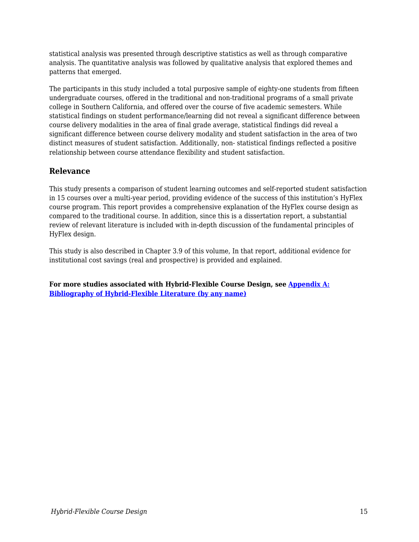statistical analysis was presented through descriptive statistics as well as through comparative analysis. The quantitative analysis was followed by qualitative analysis that explored themes and patterns that emerged.

The participants in this study included a total purposive sample of eighty-one students from fifteen undergraduate courses, offered in the traditional and non-traditional programs of a small private college in Southern California, and offered over the course of five academic semesters. While statistical findings on student performance/learning did not reveal a significant difference between course delivery modalities in the area of final grade average, statistical findings did reveal a significant difference between course delivery modality and student satisfaction in the area of two distinct measures of student satisfaction. Additionally, non- statistical findings reflected a positive relationship between course attendance flexibility and student satisfaction.

#### **Relevance**

This study presents a comparison of student learning outcomes and self-reported student satisfaction in 15 courses over a multi-year period, providing evidence of the success of this institution's HyFlex course program. This report provides a comprehensive explanation of the HyFlex course design as compared to the traditional course. In addition, since this is a dissertation report, a substantial review of relevant literature is included with in-depth discussion of the fundamental principles of HyFlex design.

This study is also described in Chapter 3.9 of this volume, In that report, additional evidence for institutional cost savings (real and prospective) is provided and explained.

**For more studies associated with Hybrid-Flexible Course Design, see [Appendix A:](http://edtechbooks.org/hyflex/biblio/) [Bibliography of Hybrid-Flexible Literature \(by any name\)](http://edtechbooks.org/hyflex/biblio/)**